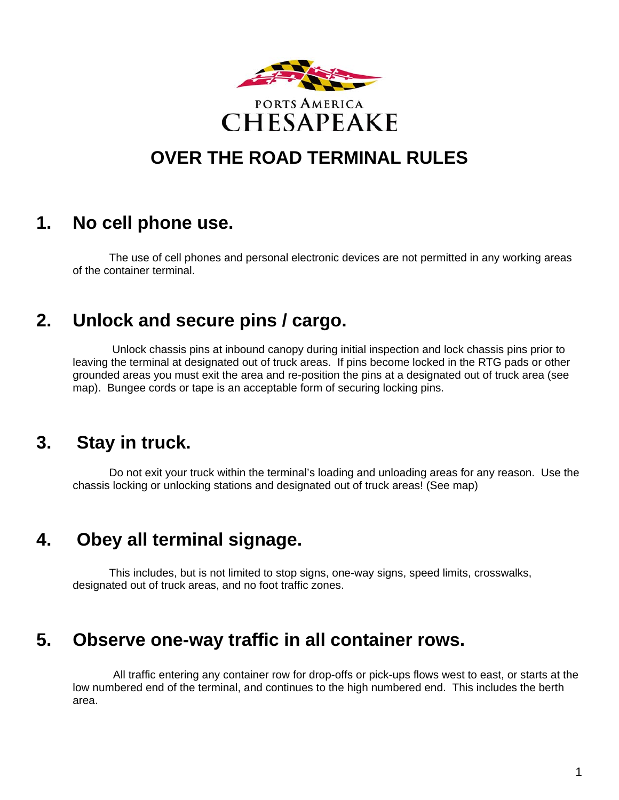

# **OVER THE ROAD TERMINAL RULES**

## **1. No cell phone use.**

The use of cell phones and personal electronic devices are not permitted in any working areas of the container terminal.

## **2. Unlock and secure pins / cargo.**

 Unlock chassis pins at inbound canopy during initial inspection and lock chassis pins prior to leaving the terminal at designated out of truck areas. If pins become locked in the RTG pads or other grounded areas you must exit the area and re-position the pins at a designated out of truck area (see map). Bungee cords or tape is an acceptable form of securing locking pins.

### **3. Stay in truck.**

Do not exit your truck within the terminal's loading and unloading areas for any reason. Use the chassis locking or unlocking stations and designated out of truck areas! (See map)

### **4. Obey all terminal signage.**

This includes, but is not limited to stop signs, one-way signs, speed limits, crosswalks, designated out of truck areas, and no foot traffic zones.

### **5. Observe one-way traffic in all container rows.**

All traffic entering any container row for drop-offs or pick-ups flows west to east, or starts at the low numbered end of the terminal, and continues to the high numbered end. This includes the berth area.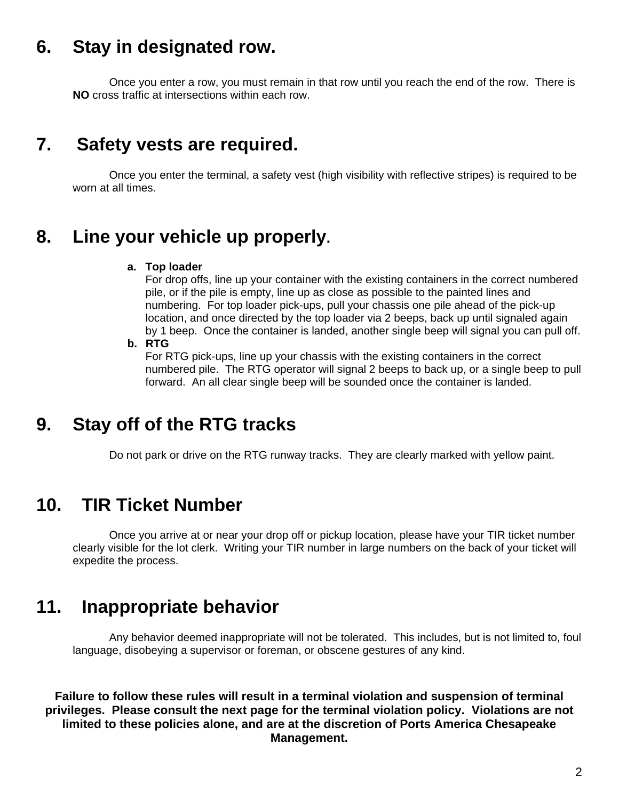## **6. Stay in designated row.**

Once you enter a row, you must remain in that row until you reach the end of the row. There is **NO** cross traffic at intersections within each row.

### **7. Safety vests are required.**

Once you enter the terminal, a safety vest (high visibility with reflective stripes) is required to be worn at all times.

### **8. Line your vehicle up properly.**

#### **a. Top loader**

For drop offs, line up your container with the existing containers in the correct numbered pile, or if the pile is empty, line up as close as possible to the painted lines and numbering. For top loader pick-ups, pull your chassis one pile ahead of the pick-up location, and once directed by the top loader via 2 beeps, back up until signaled again by 1 beep. Once the container is landed, another single beep will signal you can pull off.

#### **b. RTG**

For RTG pick-ups, line up your chassis with the existing containers in the correct numbered pile. The RTG operator will signal 2 beeps to back up, or a single beep to pull forward. An all clear single beep will be sounded once the container is landed.

### **9. Stay off of the RTG tracks**

Do not park or drive on the RTG runway tracks. They are clearly marked with yellow paint.

### **10. TIR Ticket Number**

Once you arrive at or near your drop off or pickup location, please have your TIR ticket number clearly visible for the lot clerk. Writing your TIR number in large numbers on the back of your ticket will expedite the process.

### **11. Inappropriate behavior**

Any behavior deemed inappropriate will not be tolerated. This includes, but is not limited to, foul language, disobeying a supervisor or foreman, or obscene gestures of any kind.

**Failure to follow these rules will result in a terminal violation and suspension of terminal privileges. Please consult the next page for the terminal violation policy. Violations are not limited to these policies alone, and are at the discretion of Ports America Chesapeake Management.**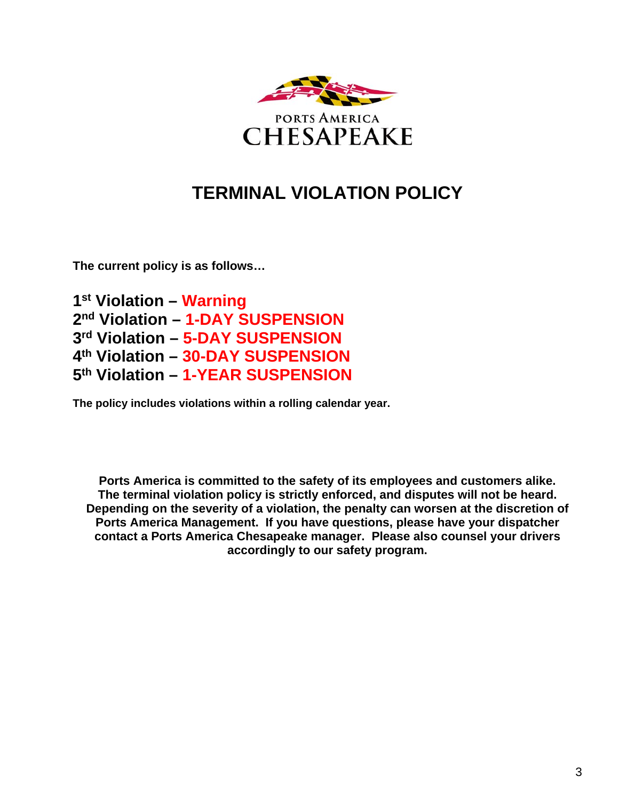

## **TERMINAL VIOLATION POLICY**

**The current policy is as follows…** 

**1st Violation – Warning 2nd Violation – 1-DAY SUSPENSION 3rd Violation – 5-DAY SUSPENSION 4th Violation – 30-DAY SUSPENSION 5th Violation – 1-YEAR SUSPENSION** 

**The policy includes violations within a rolling calendar year.** 

**Ports America is committed to the safety of its employees and customers alike. The terminal violation policy is strictly enforced, and disputes will not be heard. Depending on the severity of a violation, the penalty can worsen at the discretion of Ports America Management. If you have questions, please have your dispatcher contact a Ports America Chesapeake manager. Please also counsel your drivers accordingly to our safety program.**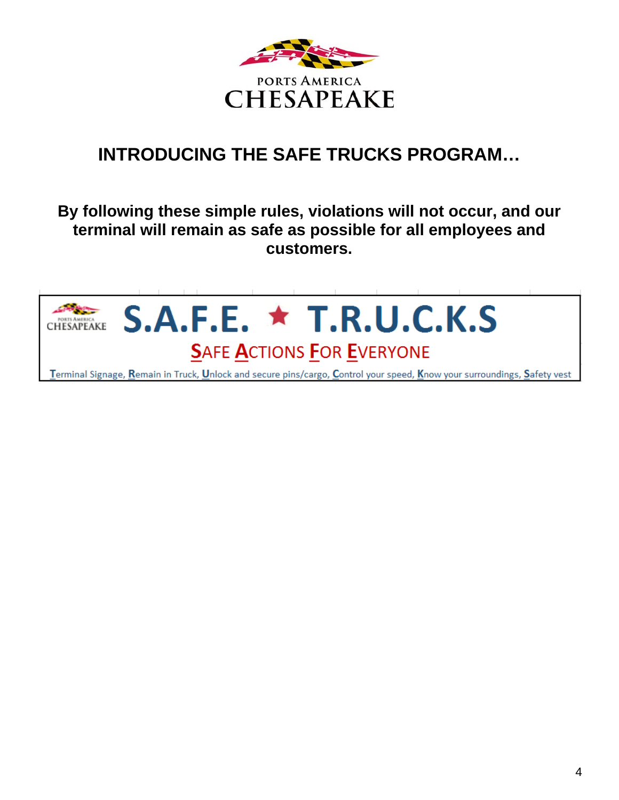

# **INTRODUCING THE SAFE TRUCKS PROGRAM…**

### **By following these simple rules, violations will not occur, and our terminal will remain as safe as possible for all employees and customers.**

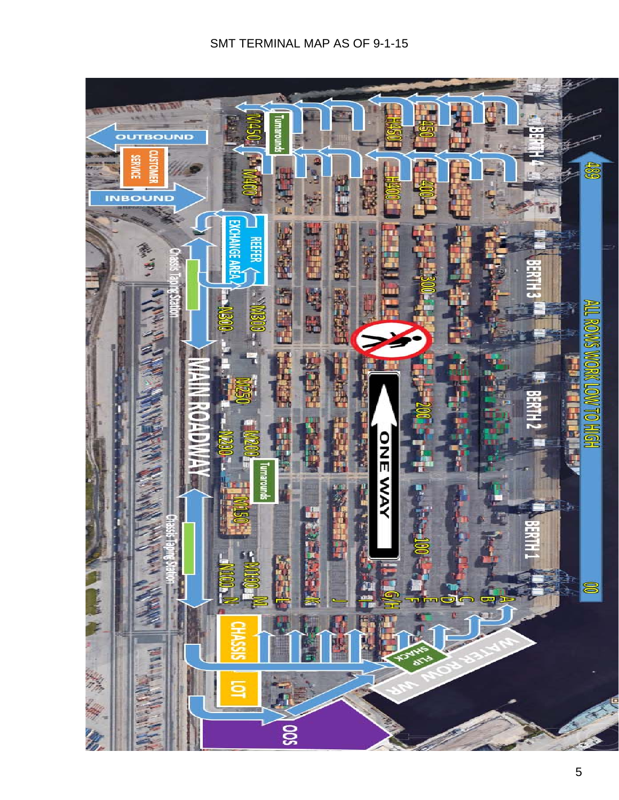